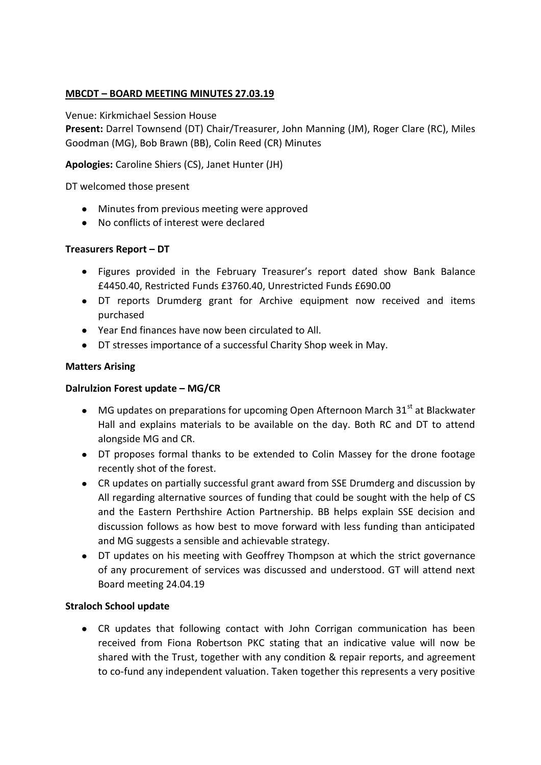# **MBCDT – BOARD MEETING MINUTES 27.03.19**

#### Venue: Kirkmichael Session House

**Present:** Darrel Townsend (DT) Chair/Treasurer, John Manning (JM), Roger Clare (RC), Miles Goodman (MG), Bob Brawn (BB), Colin Reed (CR) Minutes

# **Apologies:** Caroline Shiers (CS), Janet Hunter (JH)

DT welcomed those present

- Minutes from previous meeting were approved
- No conflicts of interest were declared

### **Treasurers Report – DT**

- Figures provided in the February Treasurer's report dated show Bank Balance £4450.40, Restricted Funds £3760.40, Unrestricted Funds £690.00
- DT reports Drumderg grant for Archive equipment now received and items purchased
- Year End finances have now been circulated to All.
- DT stresses importance of a successful Charity Shop week in May.

### **Matters Arising**

### **Dalrulzion Forest update – MG/CR**

- $\bullet$  MG updates on preparations for upcoming Open Afternoon March 31 $^{\text{st}}$  at Blackwater Hall and explains materials to be available on the day. Both RC and DT to attend alongside MG and CR.
- DT proposes formal thanks to be extended to Colin Massey for the drone footage recently shot of the forest.
- CR updates on partially successful grant award from SSE Drumderg and discussion by All regarding alternative sources of funding that could be sought with the help of CS and the Eastern Perthshire Action Partnership. BB helps explain SSE decision and discussion follows as how best to move forward with less funding than anticipated and MG suggests a sensible and achievable strategy.
- DT updates on his meeting with Geoffrey Thompson at which the strict governance of any procurement of services was discussed and understood. GT will attend next Board meeting 24.04.19

### **Straloch School update**

CR updates that following contact with John Corrigan communication has been received from Fiona Robertson PKC stating that an indicative value will now be shared with the Trust, together with any condition & repair reports, and agreement to co-fund any independent valuation. Taken together this represents a very positive